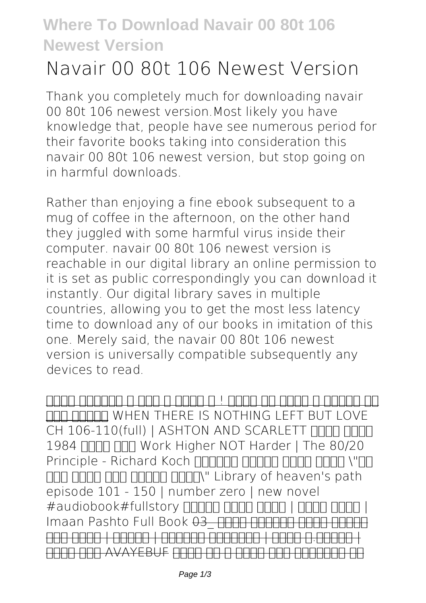## **Where To Download Navair 00 80t 106 Newest Version**

## **Navair 00 80t 106 Newest Version**

Thank you completely much for downloading **navair 00 80t 106 newest version**.Most likely you have knowledge that, people have see numerous period for their favorite books taking into consideration this navair 00 80t 106 newest version, but stop going on in harmful downloads.

Rather than enjoying a fine ebook subsequent to a mug of coffee in the afternoon, on the other hand they juggled with some harmful virus inside their computer. **navair 00 80t 106 newest version** is reachable in our digital library an online permission to it is set as public correspondingly you can download it instantly. Our digital library saves in multiple countries, allowing you to get the most less latency time to download any of our books in imitation of this one. Merely said, the navair 00 80t 106 newest version is universally compatible subsequently any devices to read.

هبا پانسانا با تاشان باند تاریخان از با بانسان با بانسان بانسان بانسان نهد هدنام *WHEN THERE IS NOTHING LEFT BUT LOVE* CH 106-110(full) | ASHTON AND SCARLETT **THE HIMM** 1984 THE THE Work Higher NOT Harder | The 80/20 Principle - Richard Koch חחחחח החחחח החחח ו"חחח **ppd path state state in Library** of heaven's path *episode 101 - 150 | number zero | new novel | باتک ړپشب | لوان وتښپ نامیا fullstory#audiobook#* شیامن نیرت هوکشاب باتک \_03 *Book Full Pashto Imaan* | ماهرپ.ح شیوگ | زنیکواد دراچیر | تشگرف | نیمز یور COOL ON AVAYEBUF A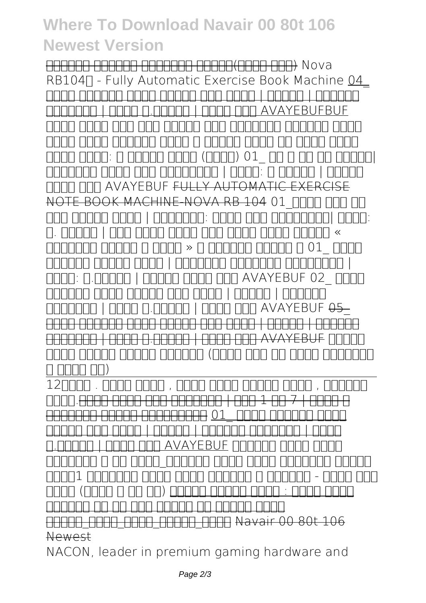## **Where To Download Navair 00 80t 106 Newest Version**

Nova) موس تمسق)زمیات کرویوین شورفرپ پاتکــ RB104∏ - Fully Automatic Exercise Book Machine 04 | تشکیر | تشکرو | تشکیل نیمز این باتک باتک باتک باتک AVAYEBUFBUF فوب یاوآ | ماهرپ.ح شیوگ | زنیکواد **هچین ملهلیو شیردیرف رثا ناسنا تسا نیا یتوص باتک بیسح هراب رد شیاه ینتفگ و دیعس انایرا دیدج ویال** |سابرک کی هت و رس \_01 *(لوان) ېوان ېریده د :باتک زیږغ* ام : ماهرها | ماهرماها العام العادلات العاد **IN AVAYEBUF <del>FULLY AUTOMA</del>** NOTE BOOK MACHINE-NOVA RB 104 **01\_باتک ریغ زا :شیوگ |هدازلامج یلع دمحم :هدنسیون | دوبن سکچیه ادخ » ىرذون ماسح رتکد فوب یاوآ یتوص رشن | ماهرپ .ح باتک \_01 ؛ ىدبيم اضريلع ـ « نآرق و تاروت ىاهغورد | هدازلامج یلعدمحم هدنسیون | رشحم یارحص هعونمم** *باتک \_02* **AVAYEBUF فوب یاوآ دیلوت | ماهرپ.ح :شیوگ** *دراچیر | تشگرف | نیمز یور شیامن نیرت هوکشاب* \_05 *AVAYEBUF فوب یاوآ | ماهرپ.ح شیوگ | زنیکواد* دراچیر | تشگرف | نیمز یور شیامن نیرت هوکشاب باتک **شزومآ** AVAYEBUF فوب یاوآ | ماهرپ.ح شیوگ | زنیکواد **همانزور رتفد رد تبث هوحن) ینوناق رتافد ریرحت لماک (لک رتفد و** ۍتسورو , وجوج يدمحا دمحا ریصن , لوان وتښپ . هخرب12 و شیاز | 7 زا 1 لصف | گنیکیاو رصع یتوص باتک.هخرب نیر<br>10 <del>- 10 امراد از ادار ادار ادار اهگ</del>نام کنیکیاو گذشته گذشته است. شیوگ | زنیکواد دراچیر | تشگرف | نیمز یور شیامن **لوصا یتوص تسکداپ** AVAYEBUF فوب یاوآ | ماهرپ.ح **زمیات کرویوین باتک نیرت شورفرپ\_نایب نف و ینارنخس** *مهم تاکن - رندراه و یسکوپا دیرخ تاکن نیرتمهم* **1تراپ** ربهر دیاب : داژن یدمحا دومحم *(۱۰ زا ۱ تمسق) باتک* صحب استخدام استخدا کا ارا با ار بالقناعات ار 1000 DDDD DDDD DDDD DDDD Navair 00 80t 106 Newest

NACON, leader in premium gaming hardware and